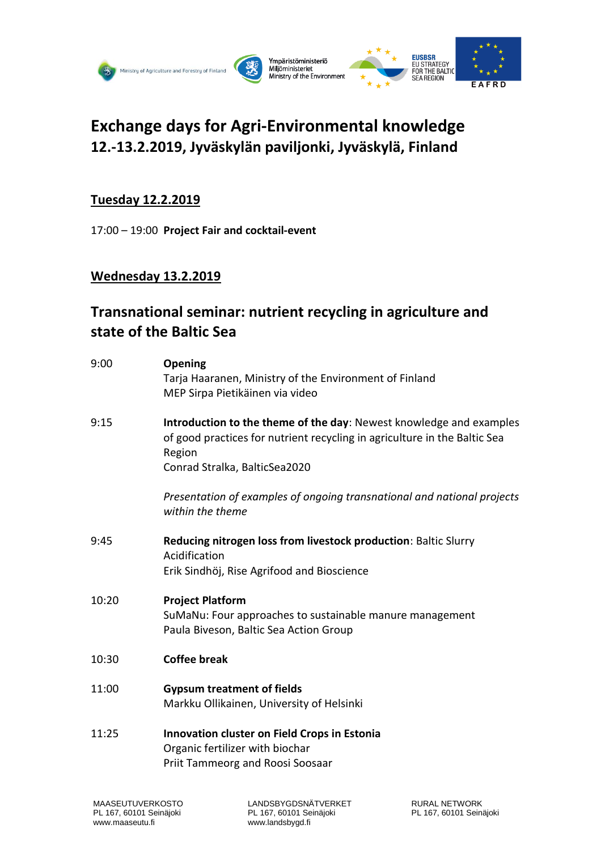

# **Exchange days for Agri-Environmental knowledge 12.-13.2.2019, Jyväskylän paviljonki, Jyväskylä, Finland**

# **Tuesday 12.2.2019**

17:00 – 19:00 **Project Fair and cocktail-event**

# **Wednesday 13.2.2019**

# **Transnational seminar: nutrient recycling in agriculture and state of the Baltic Sea**

| 9:00  | <b>Opening</b><br>Tarja Haaranen, Ministry of the Environment of Finland<br>MEP Sirpa Pietikäinen via video                                                                                 |
|-------|---------------------------------------------------------------------------------------------------------------------------------------------------------------------------------------------|
| 9:15  | Introduction to the theme of the day: Newest knowledge and examples<br>of good practices for nutrient recycling in agriculture in the Baltic Sea<br>Region<br>Conrad Stralka, BalticSea2020 |
|       | Presentation of examples of ongoing transnational and national projects<br>within the theme                                                                                                 |
| 9:45  | Reducing nitrogen loss from livestock production: Baltic Slurry<br>Acidification<br>Erik Sindhöj, Rise Agrifood and Bioscience                                                              |
| 10:20 | <b>Project Platform</b><br>SuMaNu: Four approaches to sustainable manure management<br>Paula Biveson, Baltic Sea Action Group                                                               |
| 10:30 | <b>Coffee break</b>                                                                                                                                                                         |
| 11:00 | <b>Gypsum treatment of fields</b><br>Markku Ollikainen, University of Helsinki                                                                                                              |
| 11:25 | Innovation cluster on Field Crops in Estonia<br>Organic fertilizer with biochar<br>Priit Tammeorg and Roosi Soosaar                                                                         |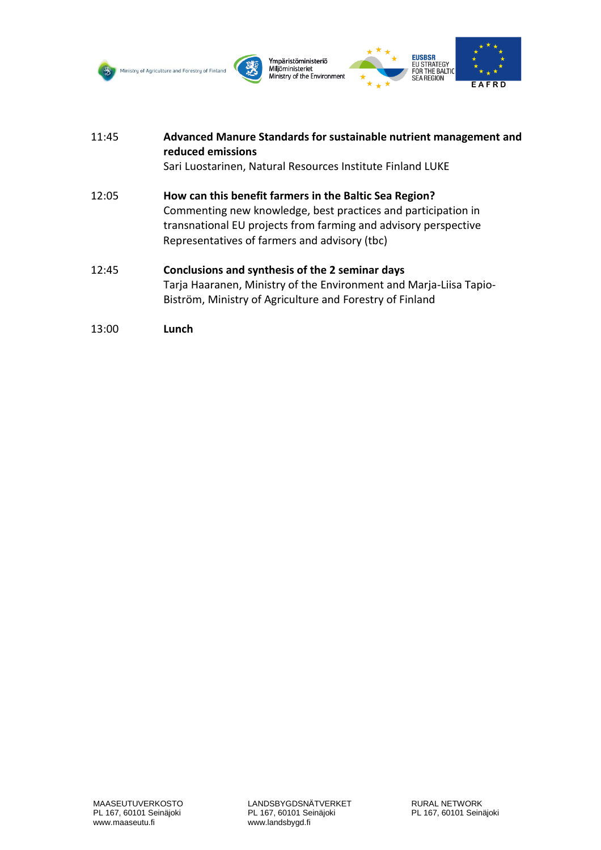





 $\star$ 



| 11:45 | Advanced Manure Standards for sustainable nutrient management and<br>reduced emissions                                                                                                                                                      |  |
|-------|---------------------------------------------------------------------------------------------------------------------------------------------------------------------------------------------------------------------------------------------|--|
|       | Sari Luostarinen, Natural Resources Institute Finland LUKE                                                                                                                                                                                  |  |
| 12:05 | How can this benefit farmers in the Baltic Sea Region?<br>Commenting new knowledge, best practices and participation in<br>transnational EU projects from farming and advisory perspective<br>Representatives of farmers and advisory (tbc) |  |
| 12:45 | Conclusions and synthesis of the 2 seminar days<br>Tarja Haaranen, Ministry of the Environment and Marja-Liisa Tapio-<br>Biström, Ministry of Agriculture and Forestry of Finland                                                           |  |

```
13:00 Lunch
```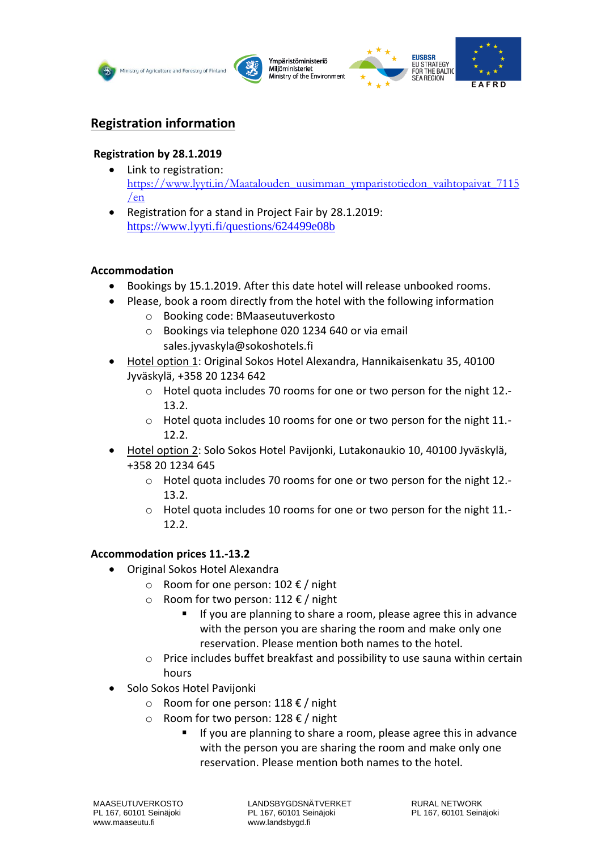





# **Registration information**

# **Registration by 28.1.2019**

- Link to registration: [https://www.lyyti.in/Maatalouden\\_uusimman\\_ymparistotiedon\\_vaihtopaivat\\_7115](https://www.lyyti.in/Maatalouden_uusimman_ymparistotiedon_vaihtopaivat_7115/en) [/en](https://www.lyyti.in/Maatalouden_uusimman_ymparistotiedon_vaihtopaivat_7115/en)
- Registration for a stand in Project Fair by 28.1.2019: <https://www.lyyti.fi/questions/624499e08b>

# **Accommodation**

- Bookings by 15.1.2019. After this date hotel will release unbooked rooms.
- Please, book a room directly from the hotel with the following information
	- o Booking code: BMaaseutuverkosto
	- o Bookings via telephone 020 1234 640 or via email sales.jyvaskyla@sokoshotels.fi
- Hotel option 1: Original Sokos Hotel Alexandra, Hannikaisenkatu 35, 40100 Jyväskylä, +358 20 1234 642
	- o Hotel quota includes 70 rooms for one or two person for the night 12.- 13.2.
	- o Hotel quota includes 10 rooms for one or two person for the night 11.- 12.2.
- Hotel option 2: Solo Sokos Hotel Pavijonki, Lutakonaukio 10, 40100 Jyväskylä, +358 20 1234 645
	- o Hotel quota includes 70 rooms for one or two person for the night 12.- 13.2.
	- o Hotel quota includes 10 rooms for one or two person for the night 11.- 12.2.

# **Accommodation prices 11.-13.2**

- Original Sokos Hotel Alexandra
	- o Room for one person: 102 € / night
	- o Room for two person: 112 € / night
		- If you are planning to share a room, please agree this in advance with the person you are sharing the room and make only one reservation. Please mention both names to the hotel.
	- o Price includes buffet breakfast and possibility to use sauna within certain hours
- Solo Sokos Hotel Pavijonki
	- o Room for one person: 118 € / night
	- o Room for two person: 128 € / night
		- If you are planning to share a room, please agree this in advance with the person you are sharing the room and make only one reservation. Please mention both names to the hotel.